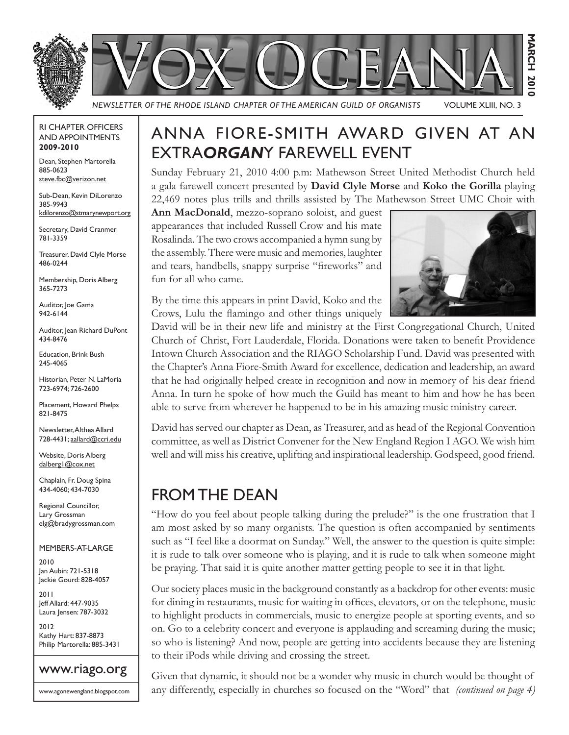

#### RI CHAPTER OFFICERS AND APPOINTMENTS **2009-2010**

Dean, Stephen Martorella 885-0623 steve.fbc@verizon.net

Sub-Dean, Kevin DiLorenzo 385-9943 kdilorenzo@stmarynewport.org

Secretary, David Cranmer 781-3359

Treasurer, David Clyle Morse 486-0244

Membership, Doris Alberg 365-7273

Auditor, Joe Gama 942-6144

Auditor, Jean Richard DuPont 434-8476

Education, Brink Bush 245-4065

Historian, Peter N. LaMoria 723-6974; 726-2600

Placement, Howard Phelps 821-8475

Newsletter, Althea Allard 728-4431; aallard@ccri.edu

Website, Doris Alberg dalberg1@cox.net

Chaplain, Fr. Doug Spina 434-4060; 434-7030

Regional Councillor, Lary Grossman elg@bradygrossman.com

MEMBERS-AT-LARGE

2010 Jan Aubin: 721-5318 Jackie Gourd: 828-4057

2011 Jeff Allard: 447-9035 Laura Jensen: 787-3032

2012 Kathy Hart: 837-8873 Philip Martorella: 885-3431



www.agonewengland.blogspot.com

# ANNA FIORE-SMITH AWARD GIVEN AT AN EXTRA*ORGAN*Y FAREWELL EVENT

Sunday February 21, 2010 4:00 p.m: Mathewson Street United Methodist Church held a gala farewell concert presented by **David Clyle Morse** and **Koko the Gorilla** playing 22,469 notes plus trills and thrills assisted by The Mathewson Street UMC Choir with

**Ann MacDonald**, mezzo-soprano soloist, and guest appearances that included Russell Crow and his mate Rosalinda. The two crows accompanied a hymn sung by the assembly. There were music and memories, laughter and tears, handbells, snappy surprise "fireworks" and fun for all who came.



By the time this appears in print David, Koko and the Crows, Lulu the flamingo and other things uniquely

David will be in their new life and ministry at the First Congregational Church, United Church of Christ, Fort Lauderdale, Florida. Donations were taken to benefit Providence Intown Church Association and the RIAGO Scholarship Fund. David was presented with the Chapter's Anna Fiore-Smith Award for excellence, dedication and leadership, an award that he had originally helped create in recognition and now in memory of his dear friend Anna. In turn he spoke of how much the Guild has meant to him and how he has been able to serve from wherever he happened to be in his amazing music ministry career.

David has served our chapter as Dean, as Treasurer, and as head of the Regional Convention committee, as well as District Convener for the New England Region I AGO. We wish him well and will miss his creative, uplifting and inspirational leadership. Godspeed, good friend.

## FROM THE DEAN

"How do you feel about people talking during the prelude?" is the one frustration that I am most asked by so many organists. The question is often accompanied by sentiments such as "I feel like a doormat on Sunday." Well, the answer to the question is quite simple: it is rude to talk over someone who is playing, and it is rude to talk when someone might be praying. That said it is quite another matter getting people to see it in that light.

Our society places music in the background constantly as a backdrop for other events: music for dining in restaurants, music for waiting in offices, elevators, or on the telephone, music to highlight products in commercials, music to energize people at sporting events, and so on. Go to a celebrity concert and everyone is applauding and screaming during the music; so who is listening? And now, people are getting into accidents because they are listening to their iPods while driving and crossing the street.

Given that dynamic, it should not be a wonder why music in church would be thought of any differently, especially in churches so focused on the "Word" that *(continued on page 4)*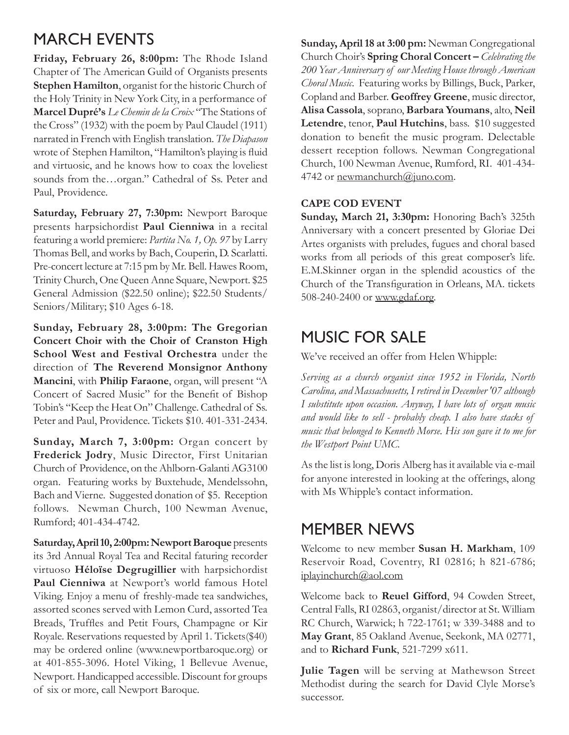### MARCH EVENTS

**Friday, February 26, 8:00pm:** The Rhode Island Chapter of The American Guild of Organists presents **Stephen Hamilton**, organist for the historic Church of the Holy Trinity in New York City, in a performance of **Marcel Dupré's** *Le Chemin de la Croix* "The Stations of the Cross" (1932) with the poem by Paul Claudel (1911) narrated in French with English translation. *The Diapason* wrote of Stephen Hamilton, "Hamilton's playing is fluid and virtuosic, and he knows how to coax the loveliest sounds from the…organ." Cathedral of Ss. Peter and Paul, Providence.

**Saturday, February 27, 7:30pm:** Newport Baroque presents harpsichordist **Paul Cienniwa** in a recital featuring a world premiere: *Partita No. 1, Op. 97* by Larry Thomas Bell, and works by Bach, Couperin, D. Scarlatti. Pre-concert lecture at 7:15 pm by Mr. Bell. Hawes Room, Trinity Church, One Queen Anne Square, Newport. \$25 General Admission (\$22.50 online); \$22.50 Students/ Seniors/Military; \$10 Ages 6-18.

**Sunday, February 28, 3:00pm: The Gregorian Concert Choir with the Choir of Cranston High School West and Festival Orchestra** under the direction of **The Reverend Monsignor Anthony Mancini**, with **Philip Faraone**, organ, will present "A Concert of Sacred Music" for the Benefit of Bishop Tobin's "Keep the Heat On" Challenge. Cathedral of Ss. Peter and Paul, Providence. Tickets \$10. 401-331-2434.

**Sunday, March 7, 3:00pm:** Organ concert by **Frederick Jodry**, Music Director, First Unitarian Church of Providence, on the Ahlborn-Galanti AG3100 organ. Featuring works by Buxtehude, Mendelssohn, Bach and Vierne. Suggested donation of \$5. Reception follows. Newman Church, 100 Newman Avenue, Rumford; 401-434-4742.

**Saturday, April 10, 2:00pm: Newport Baroque** presents its 3rd Annual Royal Tea and Recital faturing recorder virtuoso **Héloïse Degrugillier** with harpsichordist **Paul Cienniwa** at Newport's world famous Hotel Viking. Enjoy a menu of freshly-made tea sandwiches, assorted scones served with Lemon Curd, assorted Tea Breads, Truffles and Petit Fours, Champagne or Kir Royale. Reservations requested by April 1. Tickets(\$40) may be ordered online (www.newportbaroque.org) or at 401-855-3096. Hotel Viking, 1 Bellevue Avenue, Newport. Handicapped accessible. Discount for groups of six or more, call Newport Baroque.

**Sunday, April 18 at 3:00 pm:** Newman Congregational Church Choir's **Spring Choral Concert –** *Celebrating the 200 Year Anniversary of our Meeting House through American Choral Music*. Featuring works by Billings, Buck, Parker, Copland and Barber. **Geoffrey Greene**, music director, **Alisa Cassola**, soprano, **Barbara Youmans**, alto, **Neil Letendre**, tenor, **Paul Hutchins**, bass. \$10 suggested donation to benefit the music program. Delectable dessert reception follows. Newman Congregational Church, 100 Newman Avenue, Rumford, RI. 401-434- 4742 or newmanchurch@juno.com.

#### **CAPE COD EVENT**

**Sunday, March 21, 3:30pm:** Honoring Bach's 325th Anniversary with a concert presented by Gloriae Dei Artes organists with preludes, fugues and choral based works from all periods of this great composer's life. E.M.Skinner organ in the splendid acoustics of the Church of the Transfiguration in Orleans, MA. tickets 508-240-2400 or www.gdaf.org.

#### MUSIC FOR SALE

We've received an offer from Helen Whipple:

*Serving as a church organist since 1952 in Florida, North Carolina, and Massachusetts, I retired in December '07 although I substitute upon occasion. Anyway, I have lots of organ music and would like to sell - probably cheap. I also have stacks of music that belonged to Kenneth Morse. His son gave it to me for the Westport Point UMC.*

As the list is long, Doris Alberg has it available via e-mail for anyone interested in looking at the offerings, along with Ms Whipple's contact information.

#### MEMBER NEWS

Welcome to new member **Susan H. Markham**, 109 Reservoir Road, Coventry, RI 02816; h 821-6786; iplayinchurch@aol.com

Welcome back to **Reuel Gifford**, 94 Cowden Street, Central Falls, RI 02863, organist/director at St. William RC Church, Warwick; h 722-1761; w 339-3488 and to **May Grant**, 85 Oakland Avenue, Seekonk, MA 02771, and to **Richard Funk**, 521-7299 x611.

**Julie Tagen** will be serving at Mathewson Street Methodist during the search for David Clyle Morse's successor.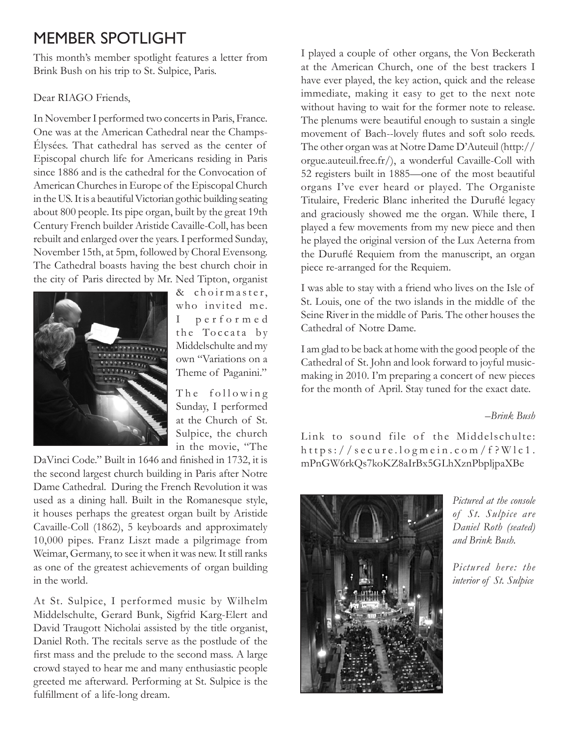## MEMBER SPOTLIGHT

This month's member spotlight features a letter from Brink Bush on his trip to St. Sulpice, Paris.

#### Dear RIAGO Friends,

In November I performed two concerts in Paris, France. One was at the American Cathedral near the Champs-Élysées. That cathedral has served as the center of Episcopal church life for Americans residing in Paris since 1886 and is the cathedral for the Convocation of American Churches in Europe of the Episcopal Church in the US. It is a beautiful Victorian gothic building seating about 800 people. Its pipe organ, built by the great 19th Century French builder Aristide Cavaille-Coll, has been rebuilt and enlarged over the years. I performed Sunday, November 15th, at 5pm, followed by Choral Evensong. The Cathedral boasts having the best church choir in the city of Paris directed by Mr. Ned Tipton, organist



& choirmaster, who invited me. I p e r f o r m e d the Toccata by Middelschulte and my own "Variations on a Theme of Paganini."

The following Sunday, I performed at the Church of St. Sulpice, the church in the movie, "The

DaVinci Code." Built in 1646 and finished in 1732, it is the second largest church building in Paris after Notre Dame Cathedral. During the French Revolution it was used as a dining hall. Built in the Romanesque style, it houses perhaps the greatest organ built by Aristide Cavaille-Coll (1862), 5 keyboards and approximately 10,000 pipes. Franz Liszt made a pilgrimage from Weimar, Germany, to see it when it was new. It still ranks as one of the greatest achievements of organ building in the world.

At St. Sulpice, I performed music by Wilhelm Middelschulte, Gerard Bunk, Sigfrid Karg-Elert and David Traugott Nicholai assisted by the title organist, Daniel Roth. The recitals serve as the postlude of the first mass and the prelude to the second mass. A large crowd stayed to hear me and many enthusiastic people greeted me afterward. Performing at St. Sulpice is the fulfillment of a life-long dream.

I played a couple of other organs, the Von Beckerath at the American Church, one of the best trackers I have ever played, the key action, quick and the release immediate, making it easy to get to the next note without having to wait for the former note to release. The plenums were beautiful enough to sustain a single movement of Bach--lovely flutes and soft solo reeds. The other organ was at Notre Dame D'Auteuil (http:// orgue.auteuil.free.fr/), a wonderful Cavaille-Coll with 52 registers built in 1885—one of the most beautiful organs I've ever heard or played. The Organiste Titulaire, Frederic Blanc inherited the Duruflé legacy and graciously showed me the organ. While there, I played a few movements from my new piece and then he played the original version of the Lux Aeterna from the Duruflé Requiem from the manuscript, an organ piece re-arranged for the Requiem.

I was able to stay with a friend who lives on the Isle of St. Louis, one of the two islands in the middle of the Seine River in the middle of Paris. The other houses the Cathedral of Notre Dame.

I am glad to be back at home with the good people of the Cathedral of St. John and look forward to joyful musicmaking in 2010. I'm preparing a concert of new pieces for the month of April. Stay tuned for the exact date.

*–Brink Bush*

Link to sound file of the Middelschulte:  $h$ ttps://secure.logmein.com/f?Wlc1. mPnGW6rkQs7koKZ8aIrBx5GLhXznPbpljpaXBe



*Pictured at the console of St. Sulpice are Daniel Roth (seated) and Brink Bush.*

*Pictured here: the interior of St. Sulpice*